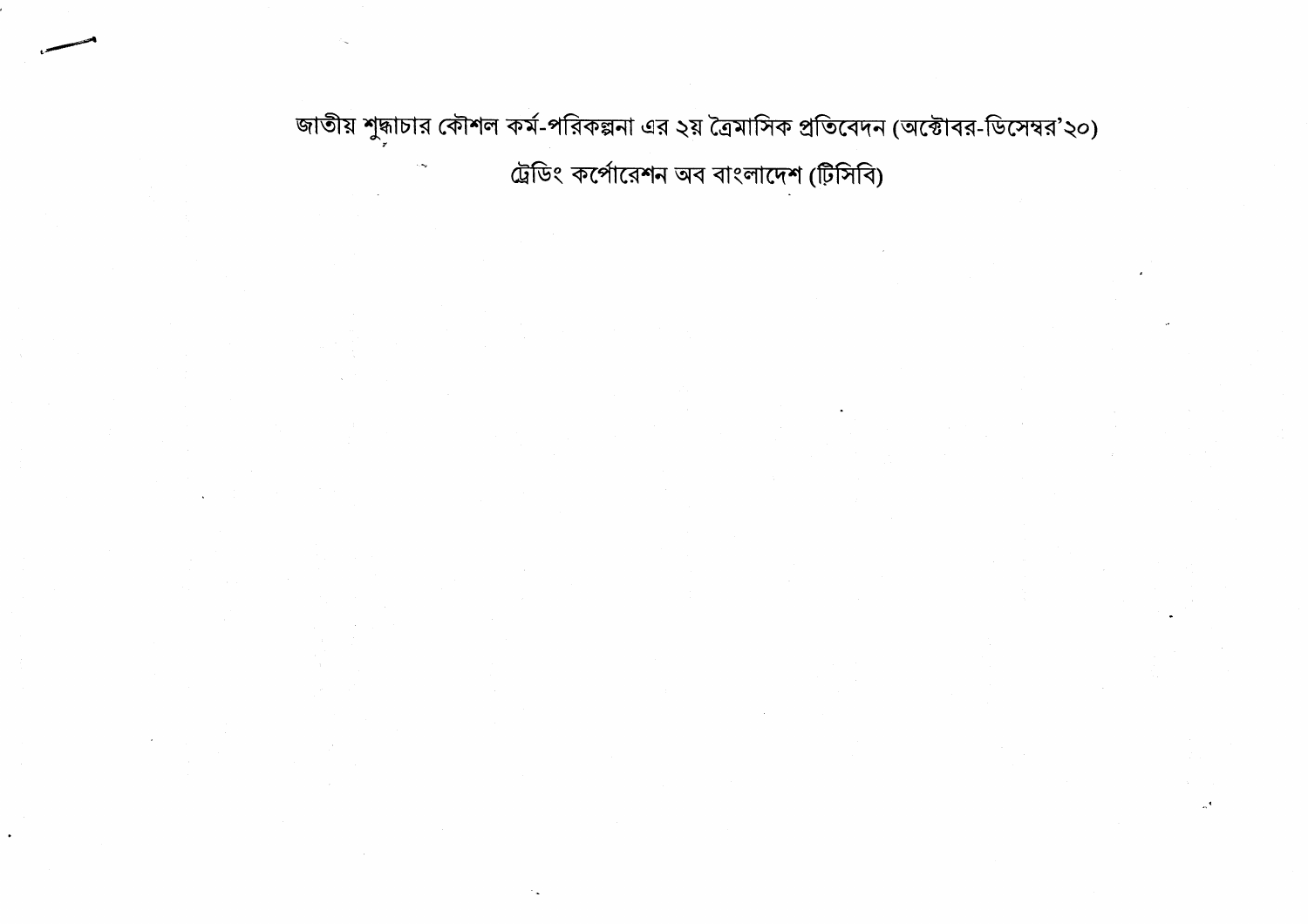জাতীয় শুদ্ধাচার কৌশল কর্ম-পরিকল্পনা এর ২য় ত্রৈমাসিক প্রতিবেদন (অক্টোবর-ডিসেম্বর'২০) ট্রেডিং কর্পোরেশন অব বাংলাদেশ (টিসিবি)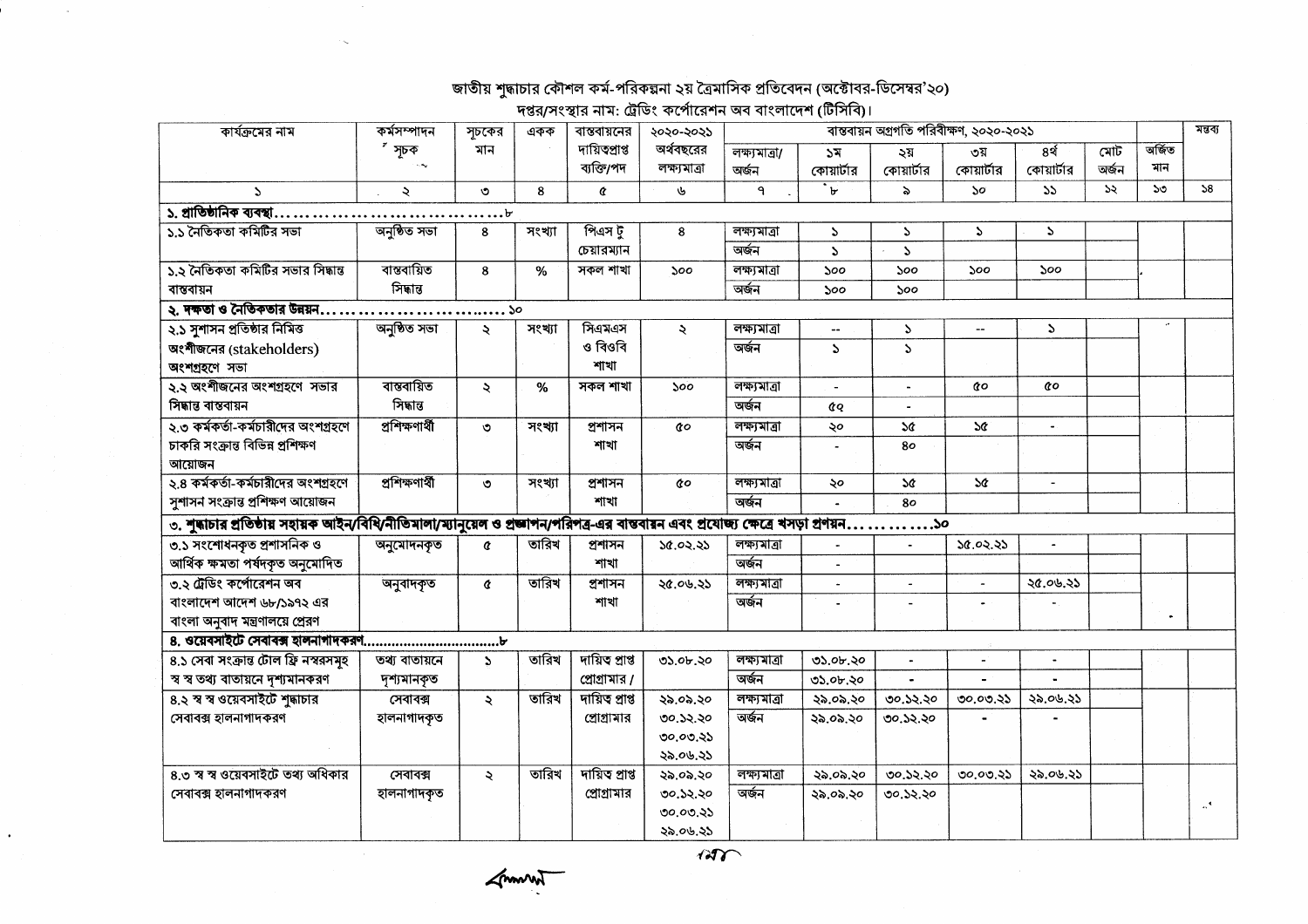## জাতীয় শুদ্ধাচার কৌশল কর্ম-পরিকল্পনা ২য় ত্রৈমাসিক প্রতিবেদন (অক্টোবর-ডিসেম্বর'২০) ।<br>দপ্তর/সংস্থার নাম- টেডিং কর্পোবেশন অব বাংলাদেশ (টিসিবি)।

| কার্যক্রমের নাম                                                                                                                        | কৰ্মসম্পাদন    | সূচকের               | একক    | $\eta$ וצטון דוויינטן דוויסיד באונגעוויסיד באפרי<br>বাস্তবায়নের | ২০২০-২০২১    |               |                          | ৰান্তবায়ন অগ্ৰগতি পরিবীক্ষণ, ২০২০-২০২১ |                       |                |               |        | মন্তব্য                   |
|----------------------------------------------------------------------------------------------------------------------------------------|----------------|----------------------|--------|------------------------------------------------------------------|--------------|---------------|--------------------------|-----------------------------------------|-----------------------|----------------|---------------|--------|---------------------------|
|                                                                                                                                        | সূচক           | মান                  |        | দায়িতপ্ৰাপ্ত                                                    | অর্থবছরের    | লক্ষ্যমাত্ৰা/ | ১ম                       | ২য়                                     | ৩য়                   | 8 <sup>3</sup> | মোট           | অৰ্জিত |                           |
|                                                                                                                                        |                |                      |        | ব্যক্তি/পদ                                                       | লক্ষ্যমাত্ৰা | অৰ্জন         | কোয়ার্টার               | কোয়ার্টার                              | কোয়ার্টার            | কোয়ার্টার     | অৰ্জন         | মান    |                           |
| $\Delta$                                                                                                                               | $\lambda$      | ৩                    | 8      | ¢                                                                | J            | ٩             | $\overline{\cdot}$       | ৯                                       | 50                    | 55             | $\mathcal{L}$ | 50     | 58                        |
| ১. প্রাতিষ্ঠানিক ব্যবস্থা.<br>.                                                                                                        |                | $\ldots$             |        |                                                                  |              |               |                          |                                         |                       |                |               |        |                           |
| ১.১ নৈতিকতা কমিটির সভা                                                                                                                 | অনুষ্ঠিত সভা   | 8                    | সংখ্যা | পিএস টু                                                          | 8            | লক্ষ্যমাত্ৰা  | $\mathcal{L}$            | $\Delta$                                | $\mathcal{L}$         | $\Delta$       |               |        |                           |
|                                                                                                                                        |                |                      |        | চেয়ারম্যান                                                      |              | অৰ্জন         | $\Delta$                 | $\Delta$                                |                       |                |               |        |                           |
| ১.২ নৈতিকতা কমিটির সভার সিদ্ধান্ত                                                                                                      | বান্তবায়িত    | 8                    | %      | সকল শাখা                                                         | ১০০          | লক্ষ্যমাত্ৰা  | ১০০                      | ১০০                                     | ১০০                   | ১০০            |               |        |                           |
| বাস্তবায়ন                                                                                                                             | সিদ্ধান্ত      |                      |        |                                                                  |              | অৰ্জন         | 500                      | ১০০                                     |                       |                |               |        |                           |
| $\lambda$ . দক্ষতা ও নৈতিকতার উন্নয়ন $\dots\dots\dots\dots\dots$                                                                      |                | ……ა                  |        |                                                                  |              |               |                          |                                         |                       |                |               |        |                           |
| ২.১ সুশাসন প্রতিষ্ঠার নিমিত্ত                                                                                                          | অনুষ্ঠিত সভা   | $\lambda$            | সংখ্যা | সিএমএস                                                           | ×.           | লক্ষ্যমাত্ৰা  | $\overline{\phantom{a}}$ | S.                                      | $\overline{a}$        | $\mathcal{L}$  |               |        |                           |
| অংশীজনের (stakeholders)                                                                                                                |                |                      |        | ও বিওবি                                                          |              | অৰ্জন         | Ź.                       | $\Delta$                                |                       |                |               |        |                           |
| অংশগ্ৰহণে সভা                                                                                                                          |                |                      |        | শাখা                                                             |              |               |                          |                                         |                       |                |               |        |                           |
| ২.২ অংশীজনের অংশগ্রহণে সভার                                                                                                            | বাস্তবায়িত    | $\ddot{\mathbf{z}}$  | $\%$   | সকল শাখা                                                         | ১০০          | লক্ষ্যমাত্ৰা  |                          |                                         | QΟ                    | QΟ             |               |        |                           |
| সিদ্ধান্ত বান্তবায়ন                                                                                                                   | সিদ্ধান্ত      |                      |        |                                                                  |              | অৰ্জন         | <b>CQ</b>                |                                         |                       |                |               |        |                           |
| ২.৩ কর্মকর্তা-কর্মচারীদের অংশগ্রহণে                                                                                                    | প্ৰশিক্ষণাৰ্থী | $\circ$              | সংখ্যা | প্ৰশাসন                                                          | đο           | লক্ষ্যমাত্ৰা  | ২০                       | 2¢                                      | 5¢                    | $\bullet$ .    |               |        |                           |
| চাকরি সংক্রান্ত বিভিন্ন প্রশিক্ষণ                                                                                                      |                |                      |        | শাখা                                                             |              | অৰ্জন         |                          | 80                                      |                       |                |               |        |                           |
| আয়োজন                                                                                                                                 |                |                      |        |                                                                  |              |               |                          |                                         |                       |                |               |        |                           |
| ২.৪ কর্মকর্তা-কর্মচারীদের অংশগ্রহণে                                                                                                    | প্ৰশিক্ষণাৰ্থী | ৩                    | সংখ্যা | প্ৰশাসন                                                          | QΟ           | লক্ষ্যমাত্ৰা  | ২০                       | <b>SG</b>                               | 5¢                    | $\blacksquare$ |               |        |                           |
| সুশাসন সংক্রান্ত প্রশিক্ষণ আয়োজন                                                                                                      |                |                      |        | শাখা                                                             |              | অৰ্জন         |                          | 80                                      |                       |                |               |        |                           |
| ৩. শুদ্ধাচার প্রতিষ্ঠায় সহায়ক আইন/বিধি/নীতিমালা/ম্যানুয়েল ও প্রজ্ঞাপন/পরিপত্র-এর বান্তবায়ন এবং প্রযোজ্য ক্ষেত্রে খসড়া প্রণয়ন  ১০ |                |                      |        |                                                                  |              |               |                          |                                         |                       |                |               |        |                           |
| ৩.১ সংশোধনকৃত প্ৰশাসনিক ও                                                                                                              | অনুমোদনকৃত     | ¢                    | তারিখ  | প্ৰশাসন                                                          | ১৫.০২.২১     | লক্ষ্যমাত্ৰা  |                          | $\overline{a}$                          | 30.02.35              | $\blacksquare$ |               |        |                           |
| আৰ্থিক ক্ষমতা পৰ্ষদকৃত অনুমোদিত                                                                                                        |                |                      |        | শাখা                                                             |              | অৰ্জন         | $\overline{a}$           |                                         |                       |                |               |        |                           |
| ৩.২ ট্রেডিং কর্পোরেশন অব                                                                                                               | অনুবাদকৃত      | ¢                    | তারিখ  | প্ৰশাসন                                                          | ২৫.০৬.২১     | লক্ষ্যমাত্ৰা  | $\mathbf{r}$             | $\blacksquare$                          | $\blacksquare$        | ২৫.০৬.২১       |               |        |                           |
| বাংলাদেশ আদেশ ৬৮/১৯৭২ এর                                                                                                               |                |                      |        | শাখা                                                             |              | অৰ্জন         | $\overline{a}$           |                                         |                       |                |               |        |                           |
| বাংলা অনুবাদ মন্ত্রণালয়ে প্রেরণ                                                                                                       |                |                      |        |                                                                  |              |               |                          |                                         |                       |                |               |        |                           |
|                                                                                                                                        |                |                      |        |                                                                  |              |               |                          |                                         |                       |                |               |        |                           |
| ৪.১ সেবা সংক্রান্ত টোল ফ্রি নস্বরসমূহ                                                                                                  | তথ্য বাতায়নে  | $\mathbf{r}$         | তারিখ  | দায়িত প্ৰাপ্ত                                                   | ৩১.০৮.২০     | লক্ষ্যমাত্ৰা  | ৩১.০৮.২০                 | $\bullet$                               | $\tilde{\phantom{a}}$ | $\blacksquare$ |               |        |                           |
| স্ব স্ব তথ্য বাতায়নে দৃশ্যমানকরণ                                                                                                      | দৃশ্যমানকৃত    |                      |        | প্রোগ্রামার /                                                    |              | অৰ্জন         | ৩১.০৮.২০                 | $\blacksquare$                          |                       |                |               |        |                           |
| ৪.২ স্ব স্ব ওয়েবসাইটে শুদ্ধাচার                                                                                                       | সেবাবক্স       | $\ddot{\mathcal{L}}$ | তারিখ  | দায়িত প্ৰাপ্ত                                                   | ২৯.০৯.২০     | লক্ষ্যমাত্ৰা  | ২৯.০৯.২০                 | ৩০.১২.২০                                | ৩০.০৩.২১              | ২৯.০৬.২১       |               |        |                           |
| সেবাবক্স হালনাগাদকরণ                                                                                                                   | হালনাগাদকৃত    |                      |        | প্রোগ্রামার                                                      | ৩০.১২.২০     | অৰ্জন         | ২৯.০৯.২০                 | ৩০.১২.২০                                |                       |                |               |        |                           |
|                                                                                                                                        |                |                      |        |                                                                  | 00.00.35     |               |                          |                                         |                       |                |               |        |                           |
|                                                                                                                                        |                |                      |        |                                                                  | ২৯.০৬.২১     |               |                          |                                         |                       |                |               |        |                           |
| ৪.৩ স্ব স্ব ওয়েবসাইটে তথ্য অধিকার                                                                                                     | সেবাবক্স       | ÷.                   | তারিখ  | দায়িত প্ৰাপ্ত                                                   | ২৯.০৯.২০     | লক্ষ্যমাত্ৰা  | ২৯.০৯.২০                 | ৩০.১২.২০                                | ৩০.০৩.২১              | ২৯.০৬.২১       |               |        |                           |
| সেবাবক্স হালনাগাদকরণ                                                                                                                   | হালনাগাদকৃত    |                      |        | প্রোগ্রামার                                                      | ৩০.১২.২০     | অৰ্জন         | ২৯.০৯.২০                 | ৩০.১২.২০                                |                       |                |               |        | $\mathbf{A}^{\mathbf{C}}$ |
|                                                                                                                                        |                |                      |        |                                                                  | ৩০.০৩.২১     |               |                          |                                         |                       |                |               |        |                           |
|                                                                                                                                        |                |                      |        |                                                                  | ২৯.০৬.২১     |               |                          |                                         |                       |                |               |        |                           |

 $\sqrt{2}$ 

Frances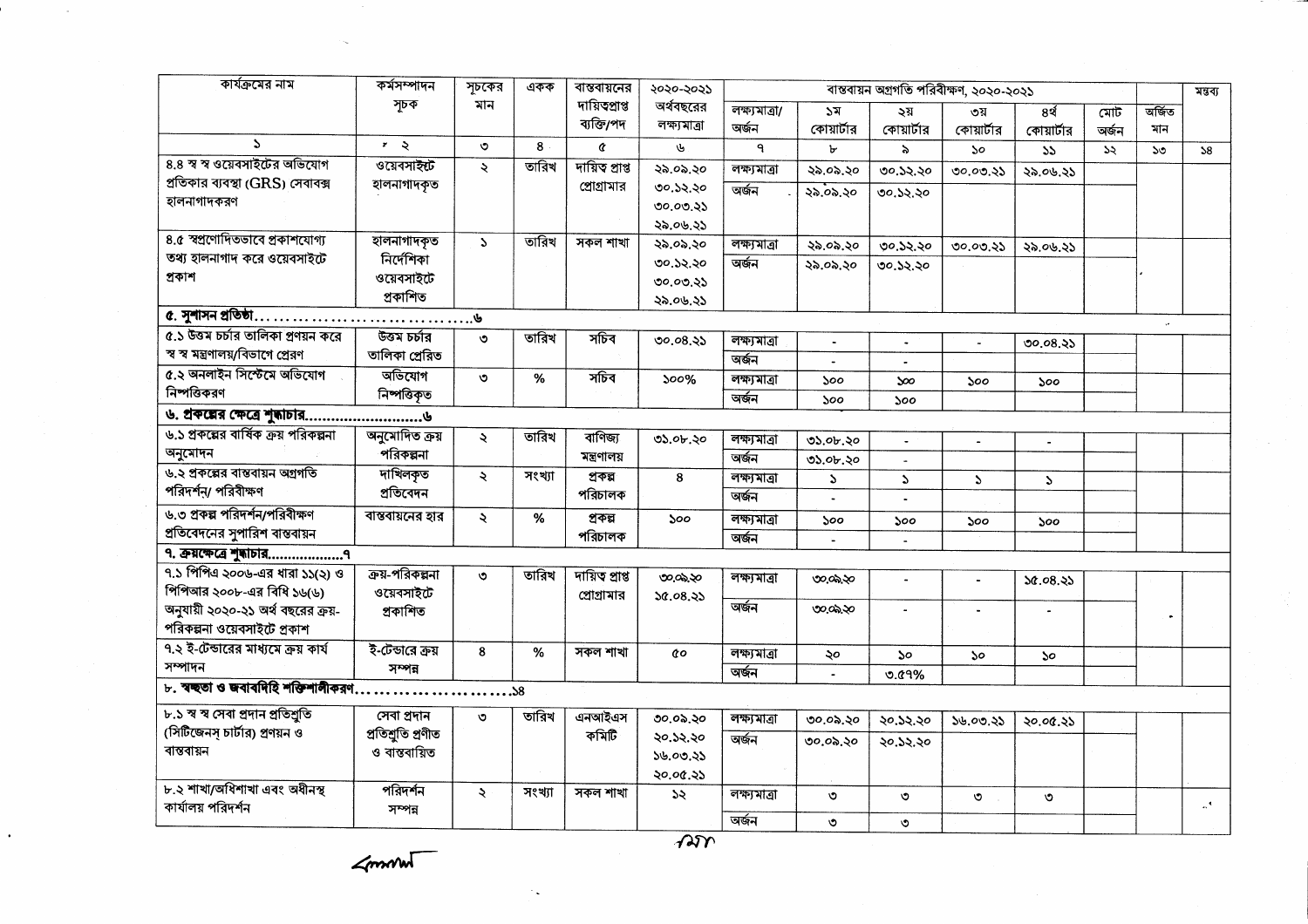| কার্যক্রমের নাম                                                                                     | কৰ্মসম্পাদন               | সূচকের              | একক    | বান্তবায়নের   | ২০২০-২০২১    | বান্তবায়ন অগ্রগতি পরিবীক্ষণ, ২০২০-২০২১ |                       |                       |                       |                             |       |              | মন্তব্য       |
|-----------------------------------------------------------------------------------------------------|---------------------------|---------------------|--------|----------------|--------------|-----------------------------------------|-----------------------|-----------------------|-----------------------|-----------------------------|-------|--------------|---------------|
|                                                                                                     | সূচক                      | মান                 |        | দায়িত্প্ৰাপ্ত | অর্থবছরের    | লক্ষ্যমাত্ৰা/                           | ১ম                    | ২য়                   | ৩য়                   | 8र्थ                        | মোট   | অৰ্জিত       |               |
|                                                                                                     |                           |                     |        | ব্যক্তি/পদ     | লক্ষ্যমাত্ৰা | অৰ্জন                                   | কোয়ার্টার            | কোয়ার্টার            | কোয়ার্টার            | কোয়ার্টার                  | অৰ্জন | মান          |               |
| $\mathbf{S}$                                                                                        | $\mathbf{r} = \mathbf{Q}$ | $\circ$             | 8      | $\alpha$       | ىل           | $\mathbf{q}$                            | Ъ                     | ৯                     | $50^{\circ}$          | 55                          | 55    | $50^{\circ}$ | 58            |
| 8.8 স্ব স্ব ওয়েবসাইটের অভিযোগ                                                                      | ওয়েবসাইন্ট               | $\ddot{\mathbf{z}}$ | তারিখ  | দায়িত প্ৰাপ্ত | ২৯ ০৯.২০     | লক্ষ্যমাত্ৰা                            | ২৯.০৯.২০              | ৩০.১২.২০              | 00.00.85              | ২৯.০৬.২১                    |       |              |               |
| প্রতিকার ব্যবস্থা (GRS) সেবাবক্স                                                                    | হালনাগাদকৃত               |                     |        | প্রোগ্রামার    | ৩০.১২.২০     | অৰ্জন                                   | ২৯.০৯.২০              | ৩০.১২.২০              |                       |                             |       |              |               |
| হালনাগাদকরণ                                                                                         |                           |                     |        |                | ৩০.০৩.২১     |                                         |                       |                       |                       |                             |       |              |               |
|                                                                                                     |                           |                     |        |                | ২৯.০৬.২১     |                                         |                       |                       |                       |                             |       |              |               |
| 8.৫ স্বপ্রণোদিতভাবে প্রকাশযোগ্য                                                                     | হালনাগাদকৃত               | $\mathbf{A}$        | তারিখ  | সকল শাখা       | ২৯.০৯.২০     | লক্ষ্যমাত্ৰা                            | ২৯.০৯.২০              | ৩০.১২.২০              | 00.00.85              | ২৯.০৬.২১                    |       |              |               |
| তথ্য হালনাগাদ করে ওয়েবসাইটে                                                                        | নিৰ্দেশিকা                |                     |        |                | ৩০.১২.২০     | অৰ্জন                                   | ২৯.০৯.২০              | 00.32.30              |                       |                             |       |              |               |
| প্ৰকাশ                                                                                              | ওয়েবসাইটে                |                     |        |                | 00.00.35     |                                         |                       |                       |                       |                             |       |              |               |
|                                                                                                     | প্ৰকাশিত                  |                     |        |                | ২৯.০৬.২১     |                                         |                       |                       |                       |                             |       |              |               |
| $\alpha$ . সুশাসন প্রতিষ্ঠা $\ldots \ldots \ldots \ldots \ldots \ldots \ldots \ldots \ldots \ldots$ |                           |                     |        |                |              |                                         |                       |                       |                       |                             |       | $\cdot$      |               |
| ৫.১ উত্তম চর্চার তালিকা প্রণয়ন করে                                                                 | উত্তম চৰ্চার              | $\circ$             | তারিখ  | সচিব           | ৩০.০৪.২১     | লক্ষ্যমাত্ৰা                            | $\tilde{\phantom{a}}$ | $\tilde{\phantom{a}}$ | $\overline{a}$        | ৩০.০৪.২১                    |       |              |               |
| স্ব স্ব মন্ত্রণালয়/বিভাগে প্রেরণ                                                                   | তালিকা প্ৰেরিত            |                     |        |                |              | অৰ্জন                                   |                       |                       |                       |                             |       |              |               |
| ৫.২ অনলাইন সিস্টেমে অভিযোগ                                                                          | অভিযোগ                    | $\circ$             | $\%$   | সচিব           | 500%         | লক্ষ্যমাত্ৰা                            | ১০০                   | $\infty$              | 500                   | $\mathcal{S}^{\mathcal{O}}$ |       |              |               |
| নিষ্পত্তিকরণ                                                                                        | নিপত্তিকৃত                |                     |        |                |              | অৰ্জন                                   | ১০০                   | 500                   |                       |                             |       |              |               |
|                                                                                                     |                           |                     |        |                |              |                                         |                       |                       |                       |                             |       |              |               |
| ৬.১ প্রকল্পের বার্ষিক ক্রয় পরিকল্পনা                                                               | অনুমোদিত ক্ৰয়            | $\lambda$           | তারিখ  | বাণিজ্য        | ৩১.০৮.২০     | লক্ষমাত্ৰা                              | ৩১.০৮.২০              | $\ddot{\phantom{a}}$  | $\tilde{\phantom{a}}$ | $\blacksquare$              |       |              |               |
| অনুমোদন                                                                                             | পরিকল্পনা                 |                     |        | মন্ত্ৰণালয়    |              | অৰ্জন                                   | ৩১.০৮.২০              | $\sim$                |                       |                             |       |              |               |
| ৬.২ প্রকল্পের বাস্তবায়ন অগ্রগতি                                                                    | দাখিলকৃত                  | Ŕ.                  | সংখ্যা | প্ৰকল্প        | 8            | লক্ষ্যমাত্ৰা                            | S.                    | Z.                    | $\mathbf{v}$          |                             |       |              |               |
| পরিদর্শন্য পরিবীক্ষণ                                                                                | প্ৰতিবেদন                 |                     |        | পরিচালক        |              | অৰ্জন                                   |                       |                       |                       | $\mathcal{L}$               |       |              |               |
| ৬.৩ প্রকল্প পরিদর্শন/পরিবীক্ষণ                                                                      | বাস্তবায়নের হার          | $\ddot{\mathbf{z}}$ | %      | প্ৰকল্প        |              |                                         |                       |                       |                       |                             |       |              |               |
| প্রতিবেদনের সুপারিশ বান্তবায়ন                                                                      |                           |                     |        | পরিচালক        | ১০০          | লক্ষ্যমাত্ৰা<br>অৰ্জন                   | ১০০                   | ১০০                   | ১০০                   | 500                         |       |              |               |
|                                                                                                     |                           |                     |        |                |              |                                         |                       | $\overline{a}$        |                       |                             |       |              |               |
| ৭.১ পিপিএ ২০০৬-এর ধারা ১১(২) ও                                                                      | ক্রয়-পরিকল্পনা           |                     | তারিখ  |                |              |                                         |                       |                       |                       |                             |       |              |               |
| পিপিআর ২০০৮-এর বিধি ১৬(৬)                                                                           | ওয়েবসাইটে                | ৩                   |        | দায়িত প্ৰাপ্ত | ৩೦,೦೬,২೦     | লক্ষ্যমাত্ৰা                            | ৩೦,೦೩,২೦              | $\blacksquare$        | $\tilde{\phantom{a}}$ | 56.08.35                    |       |              |               |
| অনুযায়ী ২০২০-২১ অর্থ বছরের ক্রয়-                                                                  | প্ৰকাশিত                  |                     |        | প্রোগ্রামার    | 30.08.35     | অৰ্জন                                   | ৩೦.೦೩.২೦              |                       |                       |                             |       |              |               |
| পরিকল্পনা ওয়েবসাইটে প্রকাশ                                                                         |                           |                     |        |                |              |                                         |                       |                       |                       |                             |       |              |               |
| ৭.২ ই-টেন্ডারের মাধ্যমে ক্রয় কার্য                                                                 | ই-টেন্ডারে ক্রয়          |                     |        |                |              |                                         |                       |                       |                       |                             |       |              |               |
| সম্পাদন                                                                                             |                           | 8                   | $\%$   | সকল শাখা       | đο           | লক্ষ্যমাত্ৰা                            | ২০                    | ১০                    | ১০                    | <b>So</b>                   |       |              |               |
|                                                                                                     | সম্পন্ন                   |                     |        |                |              | অৰ্জন                                   | $\blacksquare$        | $0.01\%$              |                       |                             |       |              |               |
| ৮. ম্বচ্ছতা ও জবাবদিহি শক্তিশালীকরণ                                                                 |                           | $8$ $\ldots$        |        |                |              |                                         |                       |                       |                       |                             |       |              |               |
| ৮.১ স্ব স্ব সেবা প্ৰদান প্ৰতিশ্ৰুতি                                                                 | সেবা প্ৰদান               | ৩                   | তারিখ  | এনআইএস         | ৩০.০৯.২০     | লক্ষ্যমাত্ৰা                            | ৩০.০৯.২০              | ২০.১২.২০              | ১৬.০৩.২১              | ২০.০৫.২১                    |       |              |               |
| (সিটিজেনস চার্টার) প্রণয়ন ও                                                                        | প্ৰতিশ্ৰুতি প্ৰণীত        |                     |        | কমিটি          | ২০.১২.২০     | অৰ্জন                                   | ৩০.০৯.২০              | ২০.১২.২০              |                       |                             |       |              |               |
| বান্তবায়ন                                                                                          | ও বান্তবায়িত             |                     |        |                | ১৬.০৩.২১     |                                         |                       |                       |                       |                             |       |              |               |
|                                                                                                     |                           |                     |        |                | ২০.০৫.২১     |                                         |                       |                       |                       |                             |       |              |               |
| ৮.২ শাখা/অধিশাখা এবং অধীনস্থ                                                                        | পরিদর্শন                  | $\ddot{\mathbf{z}}$ | সংখ্যা | সকল শাখা       | ১২           | লক্ষ্যমাত্ৰা                            | ৩                     | $\circ$               | O                     | $\circ$                     |       |              |               |
| কাৰ্যালয় পরিদর্শন                                                                                  | সম্পন্ন                   |                     |        |                |              |                                         |                       |                       |                       |                             |       |              | $\mathcal{A}$ |
|                                                                                                     |                           |                     |        |                |              | অৰ্জন                                   | ৩                     | ৩                     |                       |                             |       |              |               |

 $\measuredangle$ mant

 $\bullet$ 

 $\overline{AB}$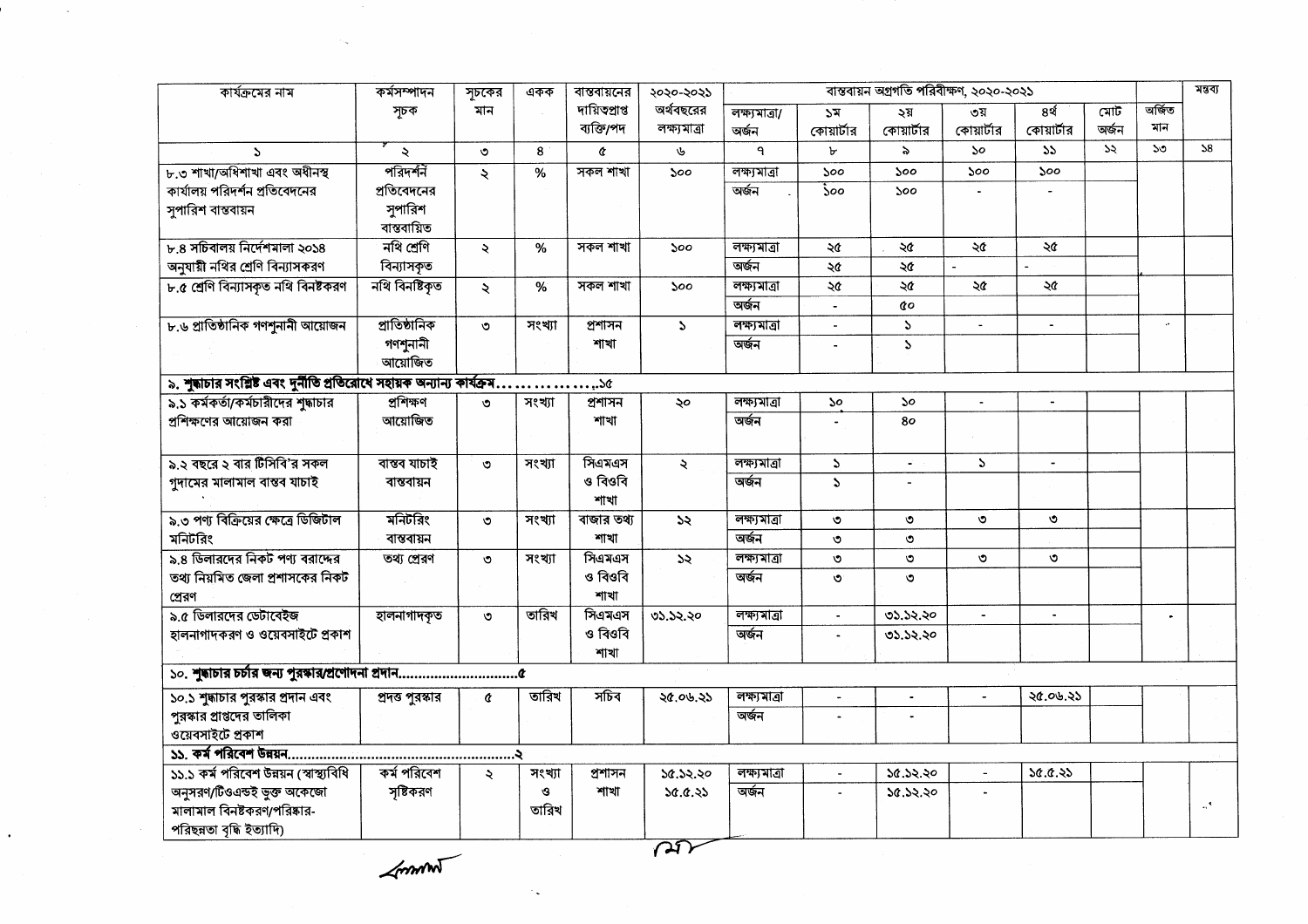| কার্যক্রমের নাম                                                          | কৰ্মসম্পাদন      | সূচকের              | একক    | বান্তবায়নের   | ২০২০-২০২১     | বাস্তবায়ন অগ্রগতি পরিবীক্ষণ, ২০২০-২০২১ |                             |                   |                |                |       |           | মন্তব্য                   |
|--------------------------------------------------------------------------|------------------|---------------------|--------|----------------|---------------|-----------------------------------------|-----------------------------|-------------------|----------------|----------------|-------|-----------|---------------------------|
|                                                                          | সূচক             | মান                 |        | দায়িত্প্ৰাপ্ত | অর্থবছরের     | লক্ষ্যমাত্ৰা/                           | ১ম                          | ২য়               | ৩য়            | 8र्थ           | মোট   | অৰ্জিত    |                           |
|                                                                          |                  |                     |        | ব্যক্তি/পদ     | লক্ষ্যমাত্ৰা  | অৰ্জন                                   | কোয়ার্টার                  | কোয়ার্টার        | কোয়ার্টার     | কোয়ার্টার     | অৰ্জন | মান       |                           |
| $\Delta$                                                                 | $\ddot{\sim}$    | ৩                   | 8      | ¢              | ৬             | ٩                                       | ৮                           | $\lambda$         | <b>So</b>      | 55             | ১২    | 50        | 58                        |
| ৮.৩ শাখা/অধিশাখা এবং অধীনস্থ                                             | পরিদর্শন         | $\ddot{\sim}$       | %      | সকল শাখা       | ১০০           | লক্ষ্যমাত্ৰা                            | 500                         | 500               | 500            | 500            |       |           |                           |
| কার্যালয় পরিদর্শন প্রতিবেদনের                                           | প্রতিবেদনের      |                     |        |                |               | অৰ্জন                                   | $\mathcal{S}^{\mathcal{O}}$ | 500               |                |                |       |           |                           |
| সুপারিশ বান্তবায়ন                                                       | সুপারিশ          |                     |        |                |               |                                         |                             |                   |                |                |       |           |                           |
|                                                                          | বান্তবায়িত      |                     |        |                |               |                                         |                             |                   |                |                |       |           |                           |
| ৮.৪ সচিবালয় নির্দেশমালা ২০১৪                                            | নথি শ্ৰেণি       | $\ddot{\sim}$       | %      | সকল শাখা       | 500           | লক্ষ্যমাত্ৰা                            | ২৫                          | ২৫                | ২৫             | ২৫             |       |           |                           |
| অনুযায়ী নথির শ্রেণি বিন্যাসকরণ                                          | বিন্যাসকৃত       |                     |        |                |               | অৰ্জন                                   | ২৫                          | ২৫                |                |                |       |           |                           |
| ৮.৫ শ্রেণি বিন্যাসকৃত নথি বিনষ্টকরণ                                      | নথি বিনষ্টিকত    | ₹                   | $\%$   | সকল শাখা       | 500           | লক্ষ্যমাত্ৰা                            | ২৫                          | ২৫                | ২৫             | ২৫             |       |           |                           |
|                                                                          |                  |                     |        |                |               | অৰ্জন                                   |                             | đο                |                |                |       |           |                           |
| ৮.৬ প্রাতিষ্ঠানিক গণশুনানী আয়োজন                                        | প্রাতিষ্ঠানিক    | ৩                   | সংখ্যা | প্ৰশাসন        | $\mathbf{v}$  | লক্ষ্যমাত্ৰা                            | $\tilde{\phantom{a}}$       | $\mathcal{L}$     |                |                |       | ò.        |                           |
|                                                                          | গণশুনানী         |                     |        | শাখা           |               | অৰ্জন                                   |                             | P.                |                |                |       |           |                           |
|                                                                          | আয়োজিত          |                     |        |                |               |                                         |                             |                   |                |                |       |           |                           |
| ৯. শুদ্ধাচার সংশ্লিষ্ট এবং দুর্নীতি প্রতিরোধে সহায়ক অন্যান্য কার্যক্রম. |                  |                     |        | $x_{i}$ .      |               |                                         |                             |                   |                |                |       |           |                           |
| ৯.১ কর্মকর্তা/কর্মচারীদের শুদ্ধাচার                                      | প্ৰশিক্ষণ        | ৩                   | সংখ্যা | প্ৰশাসন        | ২০            | লক্ষ্যমাত্ৰা                            | ১০                          | ১০                | $\overline{a}$ | $\blacksquare$ |       |           |                           |
| প্রশিক্ষণের আয়োজন করা                                                   | আয়োজিত          |                     |        | শাখা           |               | অৰ্জন                                   |                             | 80                |                |                |       |           |                           |
|                                                                          |                  |                     |        |                |               |                                         |                             |                   |                |                |       |           |                           |
| ৯.২ বছরে ২ বার টিসিবি'র সকল                                              | বাস্তব যাচাই     | ৩                   | সংখ্যা | সিএমএস         | $\ddot{\sim}$ | লক্ষ্যমাত্ৰা                            | P.                          | $\omega^{\prime}$ | $\Delta$       | $\blacksquare$ |       |           |                           |
| গুদামের মালামাল বাস্তব যাচাই                                             | বান্তবায়ন       |                     |        | ও বিওবি        |               | অৰ্জন                                   | $\mathbf{r}$                | $\blacksquare$    |                |                |       |           |                           |
|                                                                          |                  |                     |        | শাখা           |               |                                         |                             |                   |                |                |       |           |                           |
| ৯.৩ পণ্য বিক্রিয়ের ক্ষেত্রে ডিজিটাল                                     | মনিটরিং          | ত                   | সংখ্যা | বাজার তথ্য     | $\mathcal{A}$ | লক্ষ্যমাত্ৰা                            | $\circ$                     | ৩                 | $\circ$        | $\circ$        |       |           |                           |
| মনিটরিং                                                                  | বান্তবায়ন       |                     |        | শাখা           |               | অৰ্জন                                   | ৩                           | $\circ$           |                |                |       |           |                           |
| ৯.৪ ডিলারদের নিকট পণ্য বরাদ্দের                                          | তথ্য প্ৰেরণ      | $\circ$             | সংখ্যা | সিএমএস         | 55            | লক্ষ্যমাত্ৰা                            | $\circ$                     | $\circ$           | ৩              | ৩              |       |           |                           |
| তথ্য নিয়মিত জেলা প্রশাসকের নিকট                                         |                  |                     |        | ও বিওবি        |               | অৰ্জন                                   | $\circ$                     | $\circ$           |                |                |       |           |                           |
| প্ৰেরণ                                                                   |                  |                     |        | শাখা           |               |                                         |                             |                   |                |                |       |           |                           |
| ৯.৫ ডিলারদের ডেটাবেইজ                                                    | হালনাগাদকৃত      | $\circ$             | তারিখ  | সিএমএস         | 05.52.20      | লক্ষ্যমাত্ৰা                            | ä,                          | 05.52.20          | $\blacksquare$ | $\bullet$      |       | $\bullet$ |                           |
| হালনাগাদকরণ ও ওয়েবসাইটে প্রকাশ                                          |                  |                     |        | ও বিওবি        |               | অৰ্জন                                   |                             | 05.52.20          |                |                |       |           |                           |
|                                                                          |                  |                     |        | শাখা           |               |                                         |                             |                   |                |                |       |           |                           |
|                                                                          |                  |                     |        |                |               |                                         |                             |                   |                |                |       |           |                           |
| ১০.১ শুদ্ধাচার পুরস্কার প্রদান এবং                                       | প্রদত্ত পুরস্কার | ¢                   | তারিখ  | সচিব           | ২৫.০৬.২১      | লক্ষ্যমাত্ৰা                            | $\blacksquare$              | $\blacksquare$    | $\sim$         | ২৫.০৬.২১       |       |           |                           |
| পুরস্কার প্রাপ্তদের তালিকা                                               |                  |                     |        |                |               | অৰ্জন                                   |                             |                   |                |                |       |           |                           |
| ওয়েবসাইটে প্ৰকাশ                                                        |                  |                     |        |                |               |                                         |                             |                   |                |                |       |           |                           |
|                                                                          |                  |                     |        |                |               |                                         |                             |                   |                |                |       |           |                           |
| ১১.১ কর্ম পরিবেশ উন্নয়ন (স্বাস্থ্যবিধি                                  | কৰ্ম পরিবেশ      | $\ddot{\mathbf{z}}$ | সংখ্যা | প্ৰশাসন        | ১৫.১২.২০      | লক্ষ্যমাত্ৰা                            | $\overline{\phantom{a}}$    | ১৫.১২.২০          |                | 50.0.35        |       |           |                           |
| অনুসরণ/টিওএন্ডই ভুক্ত অকেজো                                              | সৃষ্টিকরণ        |                     | G      | শাখা           | 30.0.35       | অৰ্জন                                   |                             | 50.52.20          |                |                |       |           |                           |
| মালামাল বিনষ্টকরণ/পরিষ্কার-                                              |                  |                     | তারিখ  |                |               |                                         |                             |                   |                |                |       |           | $\mathbf{A}^{\mathbf{A}}$ |
| পরিছন্নতা বৃদ্ধি ইত্যাদি)                                                |                  |                     |        |                |               |                                         |                             |                   |                |                |       |           |                           |
|                                                                          |                  |                     |        |                |               |                                         |                             |                   |                |                |       |           |                           |

 $\measuredangle$ mm

 $\lambda$